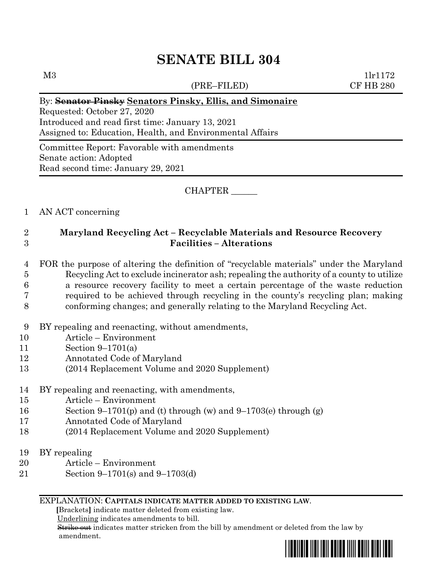# **SENATE BILL 304**

(PRE–FILED) CF HB 280

 $M3$  1lr1172

# By: **Senator Pinsky Senators Pinsky, Ellis, and Simonaire**

Requested: October 27, 2020 Introduced and read first time: January 13, 2021 Assigned to: Education, Health, and Environmental Affairs

Committee Report: Favorable with amendments Senate action: Adopted Read second time: January 29, 2021

## CHAPTER \_\_\_\_\_\_

# 1 AN ACT concerning

# 2 **Maryland Recycling Act – Recyclable Materials and Resource Recovery**  3 **Facilities – Alterations**

 FOR the purpose of altering the definition of "recyclable materials" under the Maryland Recycling Act to exclude incinerator ash; repealing the authority of a county to utilize a resource recovery facility to meet a certain percentage of the waste reduction required to be achieved through recycling in the county's recycling plan; making conforming changes; and generally relating to the Maryland Recycling Act.

- 9 BY repealing and reenacting, without amendments,
- 10 Article Environment
- 11 Section 9–1701(a)
- 12 Annotated Code of Maryland
- 13 (2014 Replacement Volume and 2020 Supplement)
- 14 BY repealing and reenacting, with amendments,
- 15 Article Environment
- 16 Section 9–1701(p) and (t) through (w) and 9–1703(e) through (g)
- 17 Annotated Code of Maryland
- 18 (2014 Replacement Volume and 2020 Supplement)
- 19 BY repealing
- 20 Article Environment
- 21 Section 9–1701(s) and 9–1703(d)

#### EXPLANATION: **CAPITALS INDICATE MATTER ADDED TO EXISTING LAW**.

 **[**Brackets**]** indicate matter deleted from existing law.

Underlining indicates amendments to bill.

 Strike out indicates matter stricken from the bill by amendment or deleted from the law by amendment.

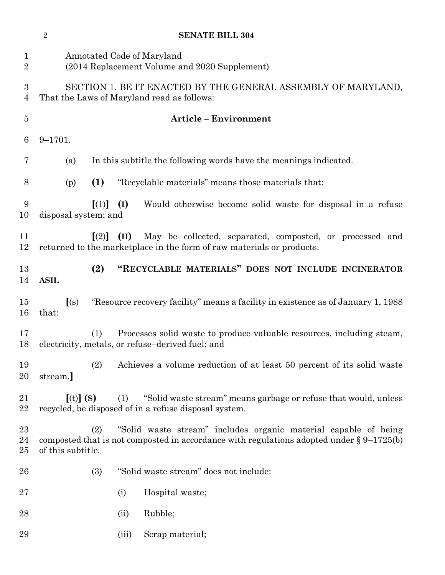|                               | $\overline{2}$                                                                                                                   |                     | <b>SENATE BILL 304</b>                                                                                                                                         |
|-------------------------------|----------------------------------------------------------------------------------------------------------------------------------|---------------------|----------------------------------------------------------------------------------------------------------------------------------------------------------------|
| $\mathbf 1$<br>$\overline{2}$ | Annotated Code of Maryland<br>(2014 Replacement Volume and 2020 Supplement)                                                      |                     |                                                                                                                                                                |
| 3<br>$\overline{4}$           | SECTION 1. BE IT ENACTED BY THE GENERAL ASSEMBLY OF MARYLAND,<br>That the Laws of Maryland read as follows:                      |                     |                                                                                                                                                                |
| $\overline{5}$                |                                                                                                                                  |                     | <b>Article - Environment</b>                                                                                                                                   |
| 6                             | $9 - 1701.$                                                                                                                      |                     |                                                                                                                                                                |
| 7                             | (a)                                                                                                                              |                     | In this subtitle the following words have the meanings indicated.                                                                                              |
| 8                             | (p)                                                                                                                              | (1)                 | "Recyclable materials" means those materials that:                                                                                                             |
| 9<br>10                       | disposal system; and                                                                                                             | [(1)]               | (I)<br>Would otherwise become solid waste for disposal in a refuse                                                                                             |
| 11<br>12                      |                                                                                                                                  | $\lceil (2) \rceil$ | (II)<br>May be collected, separated, composted, or processed and<br>returned to the marketplace in the form of raw materials or products.                      |
| 13<br>14                      | ASH.                                                                                                                             | (2)                 | "RECYCLABLE MATERIALS" DOES NOT INCLUDE INCINERATOR                                                                                                            |
| 15<br>16                      | (s)<br>that:                                                                                                                     |                     | "Resource recovery facility" means a facility in existence as of January 1, 1988                                                                               |
| 17<br>18                      | Processes solid waste to produce valuable resources, including steam,<br>(1)<br>electricity, metals, or refuse–derived fuel; and |                     |                                                                                                                                                                |
| 19<br>20                      | stream.                                                                                                                          | (2)                 | Achieves a volume reduction of at least 50 percent of its solid waste                                                                                          |
| 21<br>22                      | $[(t)]$ (S)                                                                                                                      |                     | "Solid waste stream" means garbage or refuse that would, unless<br>(1)<br>recycled, be disposed of in a refuse disposal system.                                |
| 23<br>24<br>25                | of this subtitle.                                                                                                                | (2)                 | "Solid waste stream" includes organic material capable of being<br>composted that is not composted in accordance with regulations adopted under $\S 9-1725(b)$ |
| 26                            |                                                                                                                                  | (3)                 | "Solid waste stream" does not include:                                                                                                                         |
| $27\,$                        |                                                                                                                                  |                     | Hospital waste;<br>(i)                                                                                                                                         |
| 28                            |                                                                                                                                  |                     | Rubble;<br>(ii)                                                                                                                                                |
| 29                            |                                                                                                                                  |                     | Scrap material;<br>(iii)                                                                                                                                       |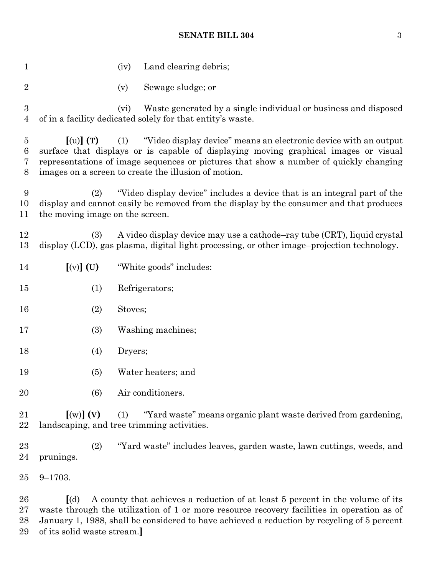## **SENATE BILL 304** 3

1 (iv) Land clearing debris; (v) Sewage sludge; or (vi) Waste generated by a single individual or business and disposed of in a facility dedicated solely for that entity's waste. **[**(u)**] (T)** (1) "Video display device" means an electronic device with an output surface that displays or is capable of displaying moving graphical images or visual representations of image sequences or pictures that show a number of quickly changing images on a screen to create the illusion of motion. (2) "Video display device" includes a device that is an integral part of the display and cannot easily be removed from the display by the consumer and that produces the moving image on the screen. (3) A video display device may use a cathode–ray tube (CRT), liquid crystal display (LCD), gas plasma, digital light processing, or other image–projection technology. **[**(v)**] (U)** "White goods" includes: (1) Refrigerators; (2) Stoves; (3) Washing machines; (4) Dryers; (5) Water heaters; and (6) Air conditioners. **[**(w)**] (V)** (1) "Yard waste" means organic plant waste derived from gardening, landscaping, and tree trimming activities. (2) "Yard waste" includes leaves, garden waste, lawn cuttings, weeds, and prunings. 9–1703. **[**(d) A county that achieves a reduction of at least 5 percent in the volume of its waste through the utilization of 1 or more resource recovery facilities in operation as of January 1, 1988, shall be considered to have achieved a reduction by recycling of 5 percent

of its solid waste stream.**]**